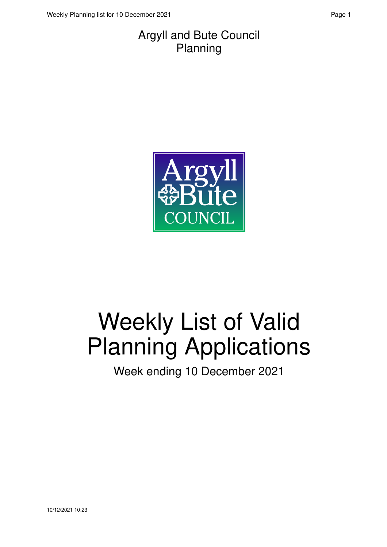#### Argyll and Bute Council Planning



# Weekly List of Valid Planning Applications

Week ending 10 December 2021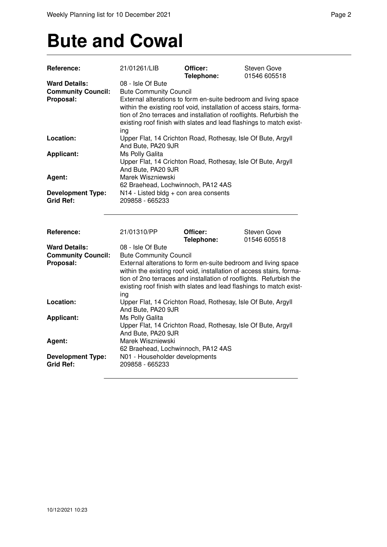### **Bute and Cowal**

| <b>Reference:</b>                                              | 21/01261/LIB                                                                                                                                                                                                                                                                                                                                     | Officer:<br>Telephone: | <b>Steven Gove</b><br>01546 605518 |
|----------------------------------------------------------------|--------------------------------------------------------------------------------------------------------------------------------------------------------------------------------------------------------------------------------------------------------------------------------------------------------------------------------------------------|------------------------|------------------------------------|
| <b>Ward Details:</b><br><b>Community Council:</b><br>Proposal: | 08 - Isle Of Bute<br><b>Bute Community Council</b><br>External alterations to form en-suite bedroom and living space<br>within the existing roof void, installation of access stairs, forma-<br>tion of 2no terraces and installation of rooflights. Refurbish the<br>existing roof finish with slates and lead flashings to match exist-<br>ing |                        |                                    |
| Location:                                                      | Upper Flat, 14 Crichton Road, Rothesay, Isle Of Bute, Argyll<br>And Bute, PA20 9JR                                                                                                                                                                                                                                                               |                        |                                    |
| <b>Applicant:</b>                                              | Ms Polly Galita<br>Upper Flat, 14 Crichton Road, Rothesay, Isle Of Bute, Argyll<br>And Bute, PA20 9JR                                                                                                                                                                                                                                            |                        |                                    |
| Agent:                                                         | Marek Wiszniewski<br>62 Braehead, Lochwinnoch, PA12 4AS                                                                                                                                                                                                                                                                                          |                        |                                    |
| <b>Development Type:</b><br><b>Grid Ref:</b>                   | N14 - Listed bldg + con area consents<br>209858 - 665233                                                                                                                                                                                                                                                                                         |                        |                                    |
| Reference:                                                     | 21/01310/PP                                                                                                                                                                                                                                                                                                                                      | Officer:<br>Telephone: | <b>Steven Gove</b><br>01546 605518 |
| <b>Ward Details:</b><br><b>Community Council:</b>              | 08 - Isle Of Bute<br><b>Bute Community Council</b>                                                                                                                                                                                                                                                                                               |                        |                                    |
| Proposal:                                                      | External alterations to form en-suite bedroom and living space<br>within the existing roof void, installation of access stairs, forma-<br>tion of 2no terraces and installation of rooflights. Refurbish the<br>existing roof finish with slates and lead flashings to match exist-<br>ing                                                       |                        |                                    |
| Location:                                                      | Upper Flat, 14 Crichton Road, Rothesay, Isle Of Bute, Argyll<br>And Bute, PA20 9JR                                                                                                                                                                                                                                                               |                        |                                    |
| Applicant:                                                     | Ms Polly Galita<br>Upper Flat, 14 Crichton Road, Rothesay, Isle Of Bute, Argyll<br>And Bute, PA20 9JR                                                                                                                                                                                                                                            |                        |                                    |
| Agent:                                                         | Marek Wiszniewski<br>62 Braehead, Lochwinnoch, PA12 4AS                                                                                                                                                                                                                                                                                          |                        |                                    |
| <b>Development Type:</b><br><b>Grid Ref:</b>                   | N01 - Householder developments<br>209858 - 665233                                                                                                                                                                                                                                                                                                |                        |                                    |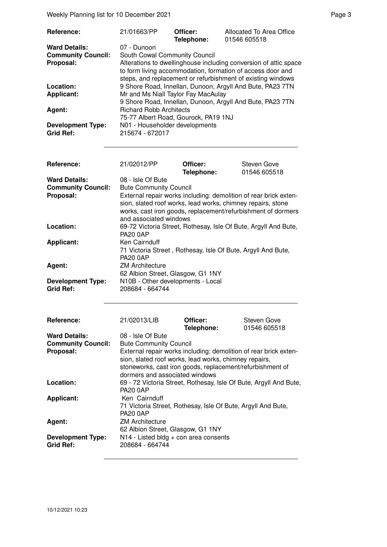Weekly Planning list for 10 December 2021 **Page 3** Page 3

| Reference:                                   | 21/01663/PP                                       | Officer:<br>Telephone: | Allocated To Area Office<br>01546 605518                                                                                                                                                      |
|----------------------------------------------|---------------------------------------------------|------------------------|-----------------------------------------------------------------------------------------------------------------------------------------------------------------------------------------------|
| <b>Ward Details:</b>                         | 07 - Dunoon                                       |                        |                                                                                                                                                                                               |
| <b>Community Council:</b>                    | South Cowal Community Council                     |                        |                                                                                                                                                                                               |
| Proposal:                                    |                                                   |                        | Alterations to dwellinghouse including conversion of attic space<br>to form living accommodation, formation of access door and<br>steps, and replacement or refurbishment of existing windows |
| Location:                                    |                                                   |                        | 9 Shore Road, Innellan, Dunoon, Argyll And Bute, PA23 7TN                                                                                                                                     |
| <b>Applicant:</b>                            | Mr and Ms Niall Taylor Fay MacAulay               |                        |                                                                                                                                                                                               |
|                                              |                                                   |                        | 9 Shore Road, Innellan, Dunoon, Argyll And Bute, PA23 7TN                                                                                                                                     |
| Agent:                                       | <b>Richard Robb Architects</b>                    |                        |                                                                                                                                                                                               |
|                                              | 75-77 Albert Road, Gourock, PA19 1NJ              |                        |                                                                                                                                                                                               |
| <b>Development Type:</b><br><b>Grid Ref:</b> | N01 - Householder developments<br>215674 - 672017 |                        |                                                                                                                                                                                               |

| Reference:                                                     | 21/02012/PP                                                                                                                                                                                                                                                                     | Officer:<br>Telephone: | <b>Steven Gove</b><br>01546 605518 |
|----------------------------------------------------------------|---------------------------------------------------------------------------------------------------------------------------------------------------------------------------------------------------------------------------------------------------------------------------------|------------------------|------------------------------------|
| <b>Ward Details:</b><br><b>Community Council:</b><br>Proposal: | 08 - Isle Of Bute<br><b>Bute Community Council</b><br>External repair works including: demolition of rear brick exten-<br>sion, slated roof works, lead works, chimney repairs, stone<br>works, cast iron goods, replacement/refurbishment of dormers<br>and associated windows |                        |                                    |
| Location:                                                      | 69-72 Victoria Street, Rothesay, Isle Of Bute, Argyll And Bute,<br><b>PA20 0AP</b>                                                                                                                                                                                              |                        |                                    |
| <b>Applicant:</b>                                              | Ken Cairnduff<br>71 Victoria Street, Rothesay, Isle Of Bute, Argyll And Bute,<br><b>PA20 0AP</b>                                                                                                                                                                                |                        |                                    |
| Agent:                                                         | <b>ZM Architecture</b><br>62 Albion Street, Glasgow, G1 1NY                                                                                                                                                                                                                     |                        |                                    |
| <b>Development Type:</b><br><b>Grid Ref:</b>                   | N10B - Other developments - Local<br>208684 - 664744                                                                                                                                                                                                                            |                        |                                    |
| Reference:                                                     | 21/02013/LIB                                                                                                                                                                                                                                                                    | Officer:<br>Telephone: | Steven Gove<br>01546 605518        |
| <b>Ward Details:</b><br><b>Community Council:</b><br>Proposal: | 08 - Isle Of Bute<br><b>Bute Community Council</b><br>External repair works including: demolition of rear brick exten-<br>sion slated roof works, lead works, chimney repairs                                                                                                   |                        |                                    |

| External repair works including: demolition of rear brick exten-<br>sion, slated roof works, lead works, chimney repairs,<br>stoneworks, cast iron goods, replacement/refurbishment of<br>dormers and associated windows |
|--------------------------------------------------------------------------------------------------------------------------------------------------------------------------------------------------------------------------|
| 69 - 72 Victoria Street, Rothesay, Isle Of Bute, Argyll And Bute,<br><b>PA20 0AP</b>                                                                                                                                     |
| Ken Cairnduff<br>71 Victoria Street, Rothesay, Isle Of Bute, Argyll And Bute,<br><b>PA20 0AP</b>                                                                                                                         |
| <b>ZM Architecture</b><br>62 Albion Street, Glasgow, G1 1NY                                                                                                                                                              |
| $N14$ - Listed bldg + con area consents<br>208684 - 664744                                                                                                                                                               |
|                                                                                                                                                                                                                          |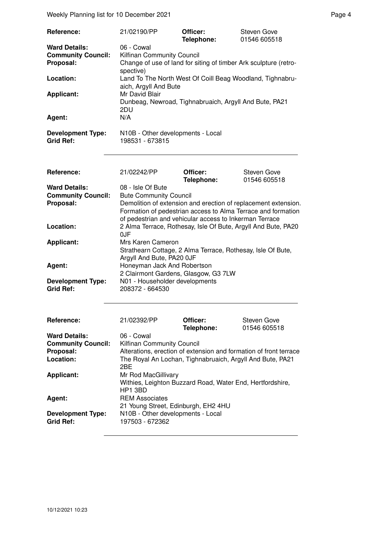Weekly Planning list for 10 December 2021 **Page 4** Page 4

| Reference:<br><b>Ward Details:</b><br><b>Community Council:</b><br>Proposal:<br>Location:<br><b>Applicant:</b><br>Agent:<br><b>Development Type:</b><br><b>Grid Ref:</b> | 21/02190/PP<br>06 - Cowal<br>Kilfinan Community Council<br>Change of use of land for siting of timber Ark sculpture (retro-<br>spective)<br>Land To The North West Of Coill Beag Woodland, Tighnabru-<br>aich, Argyll And Bute<br>Mr David Blair<br>Dunbeag, Newroad, Tighnabruaich, Argyll And Bute, PA21<br>2DU<br>N/A<br>N10B - Other developments - Local<br>198531 - 673815 | Officer:<br>Telephone: | <b>Steven Gove</b><br>01546 605518                            |  |
|--------------------------------------------------------------------------------------------------------------------------------------------------------------------------|----------------------------------------------------------------------------------------------------------------------------------------------------------------------------------------------------------------------------------------------------------------------------------------------------------------------------------------------------------------------------------|------------------------|---------------------------------------------------------------|--|
|                                                                                                                                                                          |                                                                                                                                                                                                                                                                                                                                                                                  |                        |                                                               |  |
| Reference:                                                                                                                                                               | 21/02242/PP                                                                                                                                                                                                                                                                                                                                                                      | Officer:               | Steven Gove<br>01546 605518                                   |  |
| <b>Ward Details:</b>                                                                                                                                                     | 08 - Isle Of Bute                                                                                                                                                                                                                                                                                                                                                                | Telephone:             |                                                               |  |
| <b>Community Council:</b><br>Proposal:                                                                                                                                   | <b>Bute Community Council</b><br>Demolition of extension and erection of replacement extension.<br>Formation of pedestrian access to Alma Terrace and formation<br>of pedestrian and vehicular access to Inkerman Terrace                                                                                                                                                        |                        |                                                               |  |
| Location:                                                                                                                                                                | 0JF                                                                                                                                                                                                                                                                                                                                                                              |                        | 2 Alma Terrace, Rothesay, Isle Of Bute, Argyll And Bute, PA20 |  |
| <b>Applicant:</b>                                                                                                                                                        | Mrs Karen Cameron<br>Strathearn Cottage, 2 Alma Terrace, Rothesay, Isle Of Bute,<br>Argyll And Bute, PA20 OJF                                                                                                                                                                                                                                                                    |                        |                                                               |  |
| Agent:                                                                                                                                                                   | Honeyman Jack And Robertson<br>2 Clairmont Gardens, Glasgow, G3 7LW                                                                                                                                                                                                                                                                                                              |                        |                                                               |  |
| <b>Development Type:</b><br><b>Grid Ref:</b>                                                                                                                             | N01 - Householder developments<br>208372 - 664530                                                                                                                                                                                                                                                                                                                                |                        |                                                               |  |
| Reference:                                                                                                                                                               | 21/02392/PP                                                                                                                                                                                                                                                                                                                                                                      | Officer:<br>Telephone: | <b>Steven Gove</b><br>01546 605518                            |  |
| <b>Ward Details:</b><br><b>Community Council:</b><br>Proposal:<br>Location:                                                                                              | 06 - Cowal<br>Kilfinan Community Council<br>Alterations, erection of extension and formation of front terrace<br>The Royal An Lochan, Tighnabruaich, Argyll And Bute, PA21<br>2BE                                                                                                                                                                                                |                        |                                                               |  |
| <b>Applicant:</b>                                                                                                                                                        | Mr Rod MacGillivary<br>Withies, Leighton Buzzard Road, Water End, Hertfordshire,                                                                                                                                                                                                                                                                                                 |                        |                                                               |  |
| Agent:                                                                                                                                                                   | HP1 3BD<br><b>REM Associates</b><br>21 Young Street, Edinburgh, EH2 4HU                                                                                                                                                                                                                                                                                                          |                        |                                                               |  |
| <b>Development Type:</b><br><b>Grid Ref:</b>                                                                                                                             | N10B - Other developments - Local<br>197503 - 672362                                                                                                                                                                                                                                                                                                                             |                        |                                                               |  |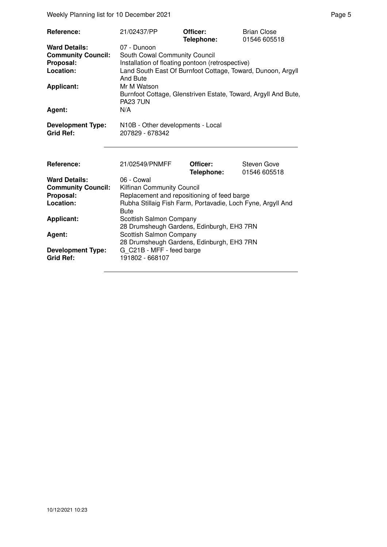Weekly Planning list for 10 December 2021 **Page 5** Page 5

| Reference:<br><b>Ward Details:</b><br><b>Community Council:</b><br>Proposal:<br>Location:<br><b>Applicant:</b><br>Agent:<br><b>Development Type:</b> | 21/02437/PP<br>07 - Dunoon<br>South Cowal Community Council<br>Installation of floating pontoon (retrospective)<br>Land South East Of Burnfoot Cottage, Toward, Dunoon, Argyll<br>And Bute<br>Mr M Watson<br>Burnfoot Cottage, Glenstriven Estate, Toward, Argyll And Bute,<br><b>PA23 7UN</b><br>N/A<br>N10B - Other developments - Local | Officer:<br>Telephone: | <b>Brian Close</b><br>01546 605518 |
|------------------------------------------------------------------------------------------------------------------------------------------------------|--------------------------------------------------------------------------------------------------------------------------------------------------------------------------------------------------------------------------------------------------------------------------------------------------------------------------------------------|------------------------|------------------------------------|
| <b>Grid Ref:</b>                                                                                                                                     | 207829 - 678342                                                                                                                                                                                                                                                                                                                            |                        |                                    |
|                                                                                                                                                      |                                                                                                                                                                                                                                                                                                                                            |                        |                                    |
| Reference:                                                                                                                                           | 21/02549/PNMFF                                                                                                                                                                                                                                                                                                                             | Officer:<br>Telephone: | Steven Gove<br>01546 605518        |
| <b>Ward Details:</b>                                                                                                                                 | 06 - Cowal                                                                                                                                                                                                                                                                                                                                 |                        |                                    |
| <b>Community Council:</b>                                                                                                                            | Kilfinan Community Council                                                                                                                                                                                                                                                                                                                 |                        |                                    |
| Proposal:                                                                                                                                            | Replacement and repositioning of feed barge                                                                                                                                                                                                                                                                                                |                        |                                    |
| Location:                                                                                                                                            | Rubha Stillaig Fish Farm, Portavadie, Loch Fyne, Argyll And<br><b>Bute</b>                                                                                                                                                                                                                                                                 |                        |                                    |
| <b>Applicant:</b>                                                                                                                                    | Scottish Salmon Company<br>28 Drumsheugh Gardens, Edinburgh, EH3 7RN                                                                                                                                                                                                                                                                       |                        |                                    |
| Agent:                                                                                                                                               | Scottish Salmon Company<br>28 Drumsheugh Gardens, Edinburgh, EH3 7RN                                                                                                                                                                                                                                                                       |                        |                                    |
| <b>Development Type:</b><br><b>Grid Ref:</b>                                                                                                         | G_C21B - MFF - feed barge<br>191802 - 668107                                                                                                                                                                                                                                                                                               |                        |                                    |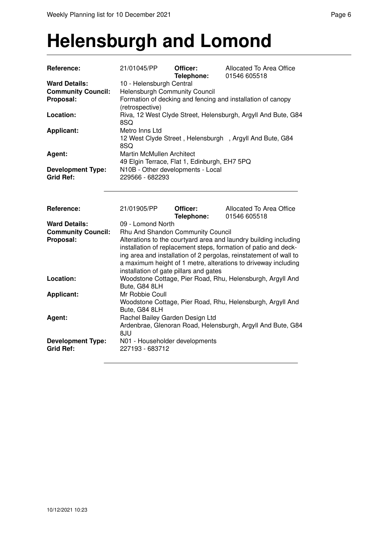#### **Helensburgh and Lomond**

| Reference:                | 21/01045/PP                                  | Officer:<br>Telephone: | Allocated To Area Office<br>01546 605518                          |
|---------------------------|----------------------------------------------|------------------------|-------------------------------------------------------------------|
| <b>Ward Details:</b>      | 10 - Helensburgh Central                     |                        |                                                                   |
| <b>Community Council:</b> | <b>Helensburgh Community Council</b>         |                        |                                                                   |
| Proposal:                 |                                              |                        | Formation of decking and fencing and installation of canopy       |
|                           | (retrospective)                              |                        |                                                                   |
| Location:                 |                                              |                        | Riva, 12 West Clyde Street, Helensburgh, Argyll And Bute, G84     |
|                           | 8SQ                                          |                        |                                                                   |
| <b>Applicant:</b>         | Metro Inns Ltd                               |                        |                                                                   |
|                           |                                              |                        | 12 West Clyde Street, Helensburgh, Argyll And Bute, G84           |
|                           | 8SQ                                          |                        |                                                                   |
| Agent:                    | Martin McMullen Architect                    |                        |                                                                   |
|                           | 49 Elgin Terrace, Flat 1, Edinburgh, EH7 5PQ |                        |                                                                   |
| <b>Development Type:</b>  | N10B - Other developments - Local            |                        |                                                                   |
| <b>Grid Ref:</b>          | 229566 - 682293                              |                        |                                                                   |
|                           |                                              |                        |                                                                   |
|                           |                                              |                        |                                                                   |
| Reference:                | 21/01905/PP                                  | Officer:               | Allocated To Area Office                                          |
|                           |                                              | Telephone:             | 01546 605518                                                      |
| <b>Ward Details:</b>      | 09 - Lomond North                            |                        |                                                                   |
| <b>Community Council:</b> | Rhu And Shandon Community Council            |                        |                                                                   |
| Proposal:                 |                                              |                        | Alterations to the courtyard area and laundry building including  |
|                           |                                              |                        | installation of replacement steps, formation of patio and deck-   |
|                           |                                              |                        |                                                                   |
|                           |                                              |                        | ing area and installation of 2 pergolas, reinstatement of wall to |
|                           |                                              |                        | a maximum height of 1 metre, alterations to driveway including    |
|                           | installation of gate pillars and gates       |                        |                                                                   |
| Location:                 |                                              |                        | Woodstone Cottage, Pier Road, Rhu, Helensburgh, Argyll And        |
|                           | Bute, G84 8LH                                |                        |                                                                   |
| <b>Applicant:</b>         | Mr Robbie Coull                              |                        |                                                                   |
|                           |                                              |                        | Woodstone Cottage, Pier Road, Rhu, Helensburgh, Argyll And        |
|                           | Bute, G84 8LH                                |                        |                                                                   |
| Agent:                    | Rachel Bailey Garden Design Ltd              |                        |                                                                   |
|                           |                                              |                        | Ardenbrae, Glenoran Road, Helensburgh, Argyll And Bute, G84       |
|                           | 8JU                                          |                        |                                                                   |
| <b>Development Type:</b>  | N01 - Householder developments               |                        |                                                                   |
| <b>Grid Ref:</b>          | 227193 - 683712                              |                        |                                                                   |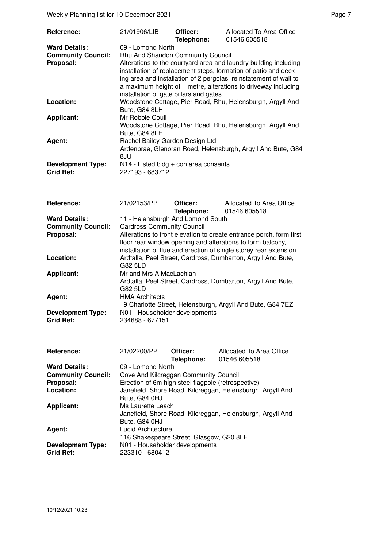Weekly Planning list for 10 December 2021 **Page 7** Neekly Planning list for 10 December 2021

| Reference:                                                                  | 21/01906/LIB                                                                                                                                                                                                                                                                                                                                                                   | Officer:<br>Telephone:                  | Allocated To Area Office<br>01546 605518                    |  |
|-----------------------------------------------------------------------------|--------------------------------------------------------------------------------------------------------------------------------------------------------------------------------------------------------------------------------------------------------------------------------------------------------------------------------------------------------------------------------|-----------------------------------------|-------------------------------------------------------------|--|
| <b>Ward Details:</b><br><b>Community Council:</b><br>Proposal:              | 09 - Lomond North<br>Rhu And Shandon Community Council<br>Alterations to the courtyard area and laundry building including<br>installation of replacement steps, formation of patio and deck-<br>ing area and installation of 2 pergolas, reinstatement of wall to<br>a maximum height of 1 metre, alterations to driveway including<br>installation of gate pillars and gates |                                         |                                                             |  |
| Location:                                                                   | Bute, G84 8LH                                                                                                                                                                                                                                                                                                                                                                  |                                         | Woodstone Cottage, Pier Road, Rhu, Helensburgh, Argyll And  |  |
| <b>Applicant:</b>                                                           | Mr Robbie Coull<br>Bute, G84 8LH                                                                                                                                                                                                                                                                                                                                               |                                         | Woodstone Cottage, Pier Road, Rhu, Helensburgh, Argyll And  |  |
| Agent:                                                                      | Rachel Bailey Garden Design Ltd<br>8JU                                                                                                                                                                                                                                                                                                                                         |                                         | Ardenbrae, Glenoran Road, Helensburgh, Argyll And Bute, G84 |  |
| <b>Development Type:</b><br><b>Grid Ref:</b>                                | 227193 - 683712                                                                                                                                                                                                                                                                                                                                                                | $N14$ - Listed bldg + con area consents |                                                             |  |
| Reference:                                                                  | 21/02153/PP                                                                                                                                                                                                                                                                                                                                                                    | Officer:<br>Telephone:                  | Allocated To Area Office<br>01546 605518                    |  |
| <b>Ward Details:</b><br><b>Community Council:</b><br>Proposal:              | 11 - Helensburgh And Lomond South<br><b>Cardross Community Council</b><br>Alterations to front elevation to create entrance porch, form first<br>floor rear window opening and alterations to form balcony,                                                                                                                                                                    |                                         |                                                             |  |
| Location:                                                                   | installation of flue and erection of single storey rear extension<br>Ardtalla, Peel Street, Cardross, Dumbarton, Argyll And Bute,<br>G82 5LD                                                                                                                                                                                                                                   |                                         |                                                             |  |
| <b>Applicant:</b>                                                           | Mr and Mrs A MacLachlan<br>Ardtalla, Peel Street, Cardross, Dumbarton, Argyll And Bute,<br>G82 5LD                                                                                                                                                                                                                                                                             |                                         |                                                             |  |
| Agent:                                                                      | <b>HMA Architects</b><br>19 Charlotte Street, Helensburgh, Argyll And Bute, G84 7EZ                                                                                                                                                                                                                                                                                            |                                         |                                                             |  |
| <b>Development Type:</b><br><b>Grid Ref:</b>                                | N01 - Householder developments<br>234688 - 677151                                                                                                                                                                                                                                                                                                                              |                                         |                                                             |  |
| Reference:                                                                  | 21/02200/PP                                                                                                                                                                                                                                                                                                                                                                    | Officer:<br>Telephone:                  | Allocated To Area Office<br>01546 605518                    |  |
| <b>Ward Details:</b><br><b>Community Council:</b><br>Proposal:<br>Location: | 09 - Lomond North<br>Cove And Kilcreggan Community Council<br>Erection of 6m high steel flagpole (retrospective)<br>Janefield, Shore Road, Kilcreggan, Helensburgh, Argyll And<br>Bute, G84 0HJ<br>Ms Laurette Leach<br>Janefield, Shore Road, Kilcreggan, Helensburgh, Argyll And<br>Bute, G84 0HJ                                                                            |                                         |                                                             |  |
| <b>Applicant:</b>                                                           |                                                                                                                                                                                                                                                                                                                                                                                |                                         |                                                             |  |
| Agent:                                                                      | Lucid Architecture<br>116 Shakespeare Street, Glasgow, G20 8LF                                                                                                                                                                                                                                                                                                                 |                                         |                                                             |  |
| <b>Development Type:</b><br><b>Grid Ref:</b>                                | N01 - Householder developments<br>223310 - 680412                                                                                                                                                                                                                                                                                                                              |                                         |                                                             |  |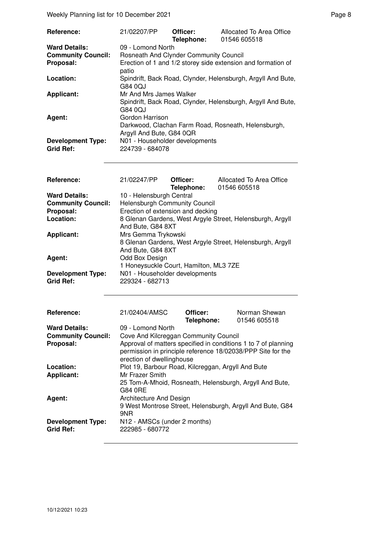Weekly Planning list for 10 December 2021 **Page 8** Page 8

| Reference:                                                     | 21/02207/PP                                                                                                                 | Officer:<br>Telephone:                                                | Allocated To Area Office<br>01546 605518 |  |
|----------------------------------------------------------------|-----------------------------------------------------------------------------------------------------------------------------|-----------------------------------------------------------------------|------------------------------------------|--|
| <b>Ward Details:</b><br><b>Community Council:</b><br>Proposal: | 09 - Lomond North<br>Rosneath And Clynder Community Council<br>Erection of 1 and 1/2 storey side extension and formation of |                                                                       |                                          |  |
| Location:                                                      | G84 0QJ                                                                                                                     | patio<br>Spindrift, Back Road, Clynder, Helensburgh, Argyll And Bute, |                                          |  |
| <b>Applicant:</b>                                              | Mr And Mrs James Walker<br>Spindrift, Back Road, Clynder, Helensburgh, Argyll And Bute,<br>G84 0QJ                          |                                                                       |                                          |  |
| Agent:                                                         | Gordon Harrison<br>Darkwood, Clachan Farm Road, Rosneath, Helensburgh,<br>Argyll And Bute, G84 0QR                          |                                                                       |                                          |  |
| <b>Development Type:</b><br>Grid Ref:                          | N01 - Householder developments<br>224739 - 684078                                                                           |                                                                       |                                          |  |
| Reference:                                                     | 21/02247/PP                                                                                                                 | Officer:<br>Telephone:                                                | Allocated To Area Office<br>01546 605518 |  |
| <b>Ward Details:</b><br><b>Community Council:</b>              | 10 - Helensburgh Central<br>Helensburgh Community Council                                                                   |                                                                       |                                          |  |

| <u>ividionopaigii ociniai</u>                             |
|-----------------------------------------------------------|
| Helensburgh Community Council                             |
| Erection of extension and decking                         |
| 8 Glenan Gardens, West Argyle Street, Helensburgh, Argyll |
| And Bute, G84 8XT                                         |
| Mrs Gemma Trykowski                                       |
| 8 Glenan Gardens, West Argyle Street, Helensburgh, Argyll |
| And Bute, G84 8XT                                         |
| Odd Box Design                                            |
| 1 Honeysuckle Court, Hamilton, ML3 7ZE                    |
| N01 - Householder developments                            |
| 229324 - 682713                                           |
|                                                           |

| Reference:                                   | 21/02404/AMSC                                                                                                                                                                                       | Officer:<br>Telephone: | Norman Shewan<br>01546 605518 |
|----------------------------------------------|-----------------------------------------------------------------------------------------------------------------------------------------------------------------------------------------------------|------------------------|-------------------------------|
| <b>Ward Details:</b>                         | 09 - Lomond North                                                                                                                                                                                   |                        |                               |
| <b>Community Council:</b><br>Proposal:       | Cove And Kilcreggan Community Council<br>Approval of matters specified in conditions 1 to 7 of planning<br>permission in principle reference 18/02038/PPP Site for the<br>erection of dwellinghouse |                        |                               |
| Location:                                    | Plot 19, Barbour Road, Kilcreggan, Argyll And Bute                                                                                                                                                  |                        |                               |
| <b>Applicant:</b>                            | Mr Frazer Smith                                                                                                                                                                                     |                        |                               |
| Agent:                                       | 25 Tom-A-Mhoid, Rosneath, Helensburgh, Argyll And Bute,<br>G84 0RE<br>Architecture And Design                                                                                                       |                        |                               |
|                                              | 9 West Montrose Street, Helensburgh, Argyll And Bute, G84                                                                                                                                           |                        |                               |
|                                              | 9NR                                                                                                                                                                                                 |                        |                               |
| <b>Development Type:</b><br><b>Grid Ref:</b> | N12 - AMSCs (under 2 months)<br>222985 - 680772                                                                                                                                                     |                        |                               |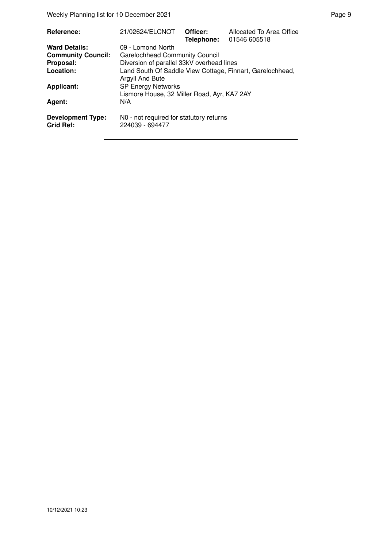Weekly Planning list for 10 December 2021 **Page 9** Page 9

| Reference:                                   | 21/02624/ELCNOT                                                          | Officer: | Allocated To Area Office<br>Telephone: 01546 605518       |
|----------------------------------------------|--------------------------------------------------------------------------|----------|-----------------------------------------------------------|
| <b>Ward Details:</b>                         | 09 - Lomond North                                                        |          |                                                           |
| <b>Community Council:</b>                    | <b>Garelochhead Community Council</b>                                    |          |                                                           |
| Proposal:                                    | Diversion of parallel 33kV overhead lines                                |          |                                                           |
| Location:                                    | Argyll And Bute                                                          |          | Land South Of Saddle View Cottage, Finnart, Garelochhead, |
| <b>Applicant:</b>                            | <b>SP Energy Networks</b><br>Lismore House, 32 Miller Road, Ayr, KA7 2AY |          |                                                           |
| Agent:                                       | N/A                                                                      |          |                                                           |
| <b>Development Type:</b><br><b>Grid Ref:</b> | N0 - not required for statutory returns<br>224039 - 694477               |          |                                                           |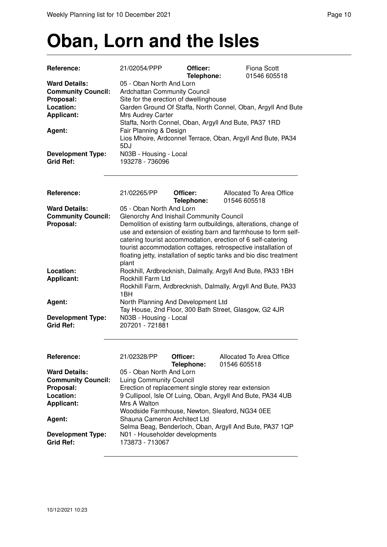# **Oban, Lorn and the Isles**

| Reference:                                                                                                                                                 | 21/02054/PPP                                                                                                                                                                                                 | Officer:<br>Telephone: | <b>Fiona Scott</b><br>01546 605518                                                                                                                                                                                                                                                                                                        |
|------------------------------------------------------------------------------------------------------------------------------------------------------------|--------------------------------------------------------------------------------------------------------------------------------------------------------------------------------------------------------------|------------------------|-------------------------------------------------------------------------------------------------------------------------------------------------------------------------------------------------------------------------------------------------------------------------------------------------------------------------------------------|
| <b>Ward Details:</b><br><b>Community Council:</b><br>Proposal:<br>Location:<br><b>Applicant:</b><br>Agent:<br><b>Development Type:</b><br><b>Grid Ref:</b> | 05 - Oban North And Lorn<br><b>Ardchattan Community Council</b><br>Site for the erection of dwellinghouse<br>Mrs Audrey Carter<br>Fair Planning & Design<br>5DJ<br>N03B - Housing - Local<br>193278 - 736096 |                        | Garden Ground Of Staffa, North Connel, Oban, Argyll And Bute<br>Staffa, North Connel, Oban, Argyll And Bute, PA37 1RD<br>Lios Mhoire, Ardconnel Terrace, Oban, Argyll And Bute, PA34                                                                                                                                                      |
| Reference:                                                                                                                                                 | 21/02265/PP                                                                                                                                                                                                  | Officer:<br>Telephone: | Allocated To Area Office<br>01546 605518                                                                                                                                                                                                                                                                                                  |
| <b>Ward Details:</b><br><b>Community Council:</b><br>Proposal:                                                                                             | 05 - Oban North And Lorn<br>Glenorchy And Inishail Community Council<br>plant                                                                                                                                |                        | Demolition of existing farm outbuildings, alterations, change of<br>use and extension of existing barn and farmhouse to form self-<br>catering tourist accommodation, erection of 6 self-catering<br>tourist accommodation cottages, retrospective installation of<br>floating jetty, installation of septic tanks and bio disc treatment |
| Location:<br><b>Applicant:</b>                                                                                                                             | Rockhill Farm Ltd<br>1BH                                                                                                                                                                                     |                        | Rockhill, Ardbrecknish, Dalmally, Argyll And Bute, PA33 1BH<br>Rockhill Farm, Ardbrecknish, Dalmally, Argyll And Bute, PA33                                                                                                                                                                                                               |
| Agent:<br><b>Development Type:</b><br><b>Grid Ref:</b>                                                                                                     | North Planning And Development Ltd<br>N03B - Housing - Local<br>207201 - 721881                                                                                                                              |                        | Tay House, 2nd Floor, 300 Bath Street, Glasgow, G2 4JR                                                                                                                                                                                                                                                                                    |
| <b>Reference:</b><br><b>Ward Details:</b><br><b>Community Council:</b>                                                                                     | 21/02328/PP<br>05 - Oban North And Lorn<br><b>Luing Community Council</b>                                                                                                                                    | Officer:<br>Telephone: | Allocated To Area Office<br>01546 605518                                                                                                                                                                                                                                                                                                  |
| Proposal:<br>Location:<br><b>Applicant:</b>                                                                                                                | Mrs A Walton                                                                                                                                                                                                 |                        | Erection of replacement single storey rear extension<br>9 Cullipool, Isle Of Luing, Oban, Argyll And Bute, PA34 4UB<br>Woodside Farmhouse, Newton, Sleaford, NG34 0EE                                                                                                                                                                     |
| Agent:<br><b>Development Type:</b><br><b>Grid Ref:</b>                                                                                                     | Shauna Cameron Architect Ltd<br>N01 - Householder developments<br>173873 - 713067                                                                                                                            |                        | Selma Beag, Benderloch, Oban, Argyll And Bute, PA37 1QP                                                                                                                                                                                                                                                                                   |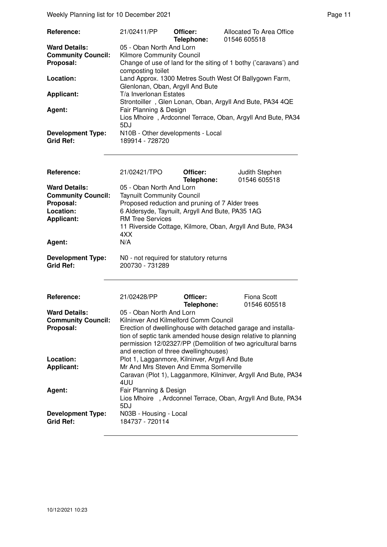| Reference:                                   | 21/02411/PP                                          | Officer:<br>Telephone: | Allocated To Area Office<br>01546 605518                         |
|----------------------------------------------|------------------------------------------------------|------------------------|------------------------------------------------------------------|
| <b>Ward Details:</b>                         | 05 - Oban North And Lorn                             |                        |                                                                  |
| <b>Community Council:</b>                    | <b>Kilmore Community Council</b>                     |                        |                                                                  |
| Proposal:                                    | composting toilet                                    |                        | Change of use of land for the siting of 1 bothy ('caravans') and |
| Location:                                    | Glenlonan, Oban, Argyll And Bute                     |                        | Land Approx. 1300 Metres South West Of Ballygown Farm,           |
| <b>Applicant:</b>                            | T/a Inverlonan Estates                               |                        | Strontoiller, Glen Lonan, Oban, Argyll And Bute, PA34 4QE        |
| Agent:                                       | Fair Planning & Design<br>5DJ                        |                        | Lios Mhoire, Ardconnel Terrace, Oban, Argyll And Bute, PA34      |
| <b>Development Type:</b><br><b>Grid Ref:</b> | N10B - Other developments - Local<br>189914 - 728720 |                        |                                                                  |

| Reference:                | 21/02421/TPO                                     | Officer:<br>Telephone: | Judith Stephen<br>01546 605518                             |
|---------------------------|--------------------------------------------------|------------------------|------------------------------------------------------------|
| <b>Ward Details:</b>      | 05 - Oban North And Lorn                         |                        |                                                            |
| <b>Community Council:</b> | <b>Taynuilt Community Council</b>                |                        |                                                            |
| Proposal:                 | Proposed reduction and pruning of 7 Alder trees  |                        |                                                            |
| Location:                 | 6 Aldersyde, Taynuilt, Argyll And Bute, PA35 1AG |                        |                                                            |
| <b>Applicant:</b>         | <b>RM Tree Services</b>                          |                        |                                                            |
|                           | 4XX                                              |                        | 11 Riverside Cottage, Kilmore, Oban, Argyll And Bute, PA34 |
| Agent:                    | N/A                                              |                        |                                                            |
| <b>Development Type:</b>  | NO - not required for statutory returns          |                        |                                                            |

**Grid Ref:** 200730 - 731289

| <b>Reference:</b>         | 21/02428/PP                           | Officer:<br>Telephone:                                                                                                                                                                        | Fiona Scott<br>01546 605518                                    |
|---------------------------|---------------------------------------|-----------------------------------------------------------------------------------------------------------------------------------------------------------------------------------------------|----------------------------------------------------------------|
| <b>Ward Details:</b>      | 05 - Oban North And Lorn              |                                                                                                                                                                                               |                                                                |
| <b>Community Council:</b> | Kilninver And Kilmelford Comm Council |                                                                                                                                                                                               |                                                                |
| Proposal:                 | and erection of three dwellinghouses) | Erection of dwellinghouse with detached garage and installa-<br>tion of septic tank amended house design relative to planning<br>permission 12/02327/PP (Demolition of two agricultural barns |                                                                |
| Location:                 |                                       | Plot 1, Lagganmore, Kilninver, Argyll And Bute                                                                                                                                                |                                                                |
| <b>Applicant:</b>         |                                       | Mr And Mrs Steven And Emma Somerville                                                                                                                                                         |                                                                |
|                           | 4UU                                   |                                                                                                                                                                                               | Caravan (Plot 1), Lagganmore, Kilninver, Argyll And Bute, PA34 |
| Agent:                    | Fair Planning & Design                |                                                                                                                                                                                               |                                                                |
|                           | 5DJ                                   | Lios Mhoire, Ardconnel Terrace, Oban, Argyll And Bute, PA34                                                                                                                                   |                                                                |
| <b>Development Type:</b>  | N03B - Housing - Local                |                                                                                                                                                                                               |                                                                |
| Grid Ref:                 | 184737 - 720114                       |                                                                                                                                                                                               |                                                                |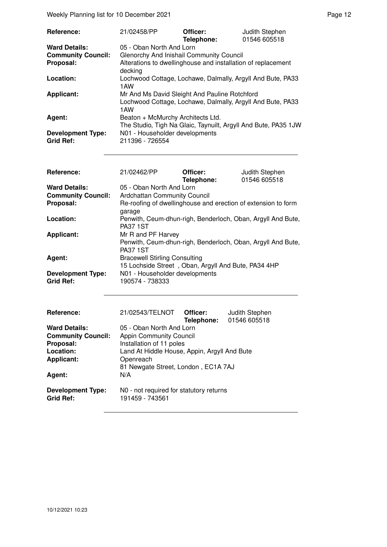Weekly Planning list for 10 December 2021 **Page 12** Page 12

| Reference:                                   | 21/02458/PP                                                                                                        | Officer:<br>Telephone: | Judith Stephen<br>01546 605518                                 |
|----------------------------------------------|--------------------------------------------------------------------------------------------------------------------|------------------------|----------------------------------------------------------------|
| <b>Ward Details:</b>                         | 05 - Oban North And Lorn                                                                                           |                        |                                                                |
| <b>Community Council:</b>                    | Glenorchy And Inishail Community Council                                                                           |                        |                                                                |
| Proposal:                                    | Alterations to dwellinghouse and installation of replacement<br>decking                                            |                        |                                                                |
| Location:                                    | Lochwood Cottage, Lochawe, Dalmally, Argyll And Bute, PA33<br>1AW                                                  |                        |                                                                |
| <b>Applicant:</b>                            | Mr And Ms David Sleight And Pauline Rotchford<br>Lochwood Cottage, Lochawe, Dalmally, Argyll And Bute, PA33<br>1AW |                        |                                                                |
| Agent:                                       | Beaton + McMurchy Architects Ltd.                                                                                  |                        | The Studio, Tigh Na Glaic, Taynuilt, Argyll And Bute, PA35 1JW |
| <b>Development Type:</b><br><b>Grid Ref:</b> | N01 - Householder developments<br>211396 - 726554                                                                  |                        |                                                                |

| <b>Reference:</b>         | 21/02462/PP                                                             | Officer:<br>Telephone:                              | Judith Stephen<br>01546 605518                              |
|---------------------------|-------------------------------------------------------------------------|-----------------------------------------------------|-------------------------------------------------------------|
| <b>Ward Details:</b>      | 05 - Oban North And Lorn                                                |                                                     |                                                             |
| <b>Community Council:</b> | <b>Ardchattan Community Council</b>                                     |                                                     |                                                             |
| Proposal:                 | Re-roofing of dwellinghouse and erection of extension to form<br>garage |                                                     |                                                             |
| Location:                 | <b>PA37 1ST</b>                                                         |                                                     | Penwith, Ceum-dhun-righ, Benderloch, Oban, Argyll And Bute, |
| <b>Applicant:</b>         | Mr R and PF Harvey                                                      |                                                     |                                                             |
|                           | <b>PA37 1ST</b>                                                         |                                                     | Penwith, Ceum-dhun-righ, Benderloch, Oban, Argyll And Bute, |
| Agent:                    | <b>Bracewell Stirling Consulting</b>                                    |                                                     |                                                             |
|                           |                                                                         | 15 Lochside Street, Oban, Argyll And Bute, PA34 4HP |                                                             |
| <b>Development Type:</b>  | N01 - Householder developments                                          |                                                     |                                                             |
| <b>Grid Ref:</b>          | 190574 - 738333                                                         |                                                     |                                                             |
|                           |                                                                         |                                                     |                                                             |
|                           |                                                                         |                                                     |                                                             |

| Reference:                                   | 21/02543/TELNOT                                            | Officer:   | Judith Stephen |
|----------------------------------------------|------------------------------------------------------------|------------|----------------|
|                                              |                                                            | Telephone: | 01546 605518   |
| <b>Ward Details:</b>                         | 05 - Oban North And Lorn                                   |            |                |
| <b>Community Council:</b>                    | <b>Appin Community Council</b>                             |            |                |
| Proposal:                                    | Installation of 11 poles                                   |            |                |
| Location:                                    | Land At Hiddle House, Appin, Argyll And Bute               |            |                |
| <b>Applicant:</b>                            | Openreach                                                  |            |                |
|                                              | 81 Newgate Street, London, EC1A 7AJ                        |            |                |
| Agent:                                       | N/A                                                        |            |                |
| <b>Development Type:</b><br><b>Grid Ref:</b> | N0 - not required for statutory returns<br>191459 - 743561 |            |                |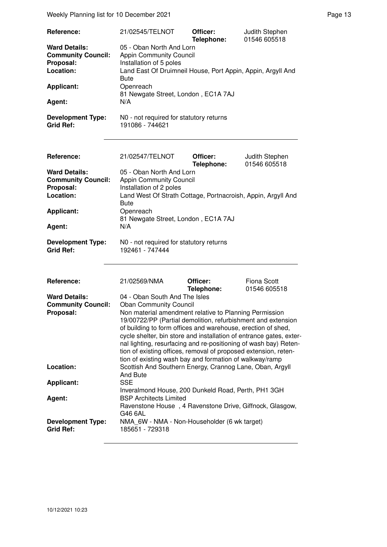Weekly Planning list for 10 December 2021 **Page 13** Page 13

| Reference:<br><b>Ward Details:</b>                                          | 21/02545/TELNOT<br>05 - Oban North And Lorn                                                                                                                                                                                                                                                                                                                                                                                                                                                      | Officer:<br>Telephone: | Judith Stephen<br>01546 605518     |
|-----------------------------------------------------------------------------|--------------------------------------------------------------------------------------------------------------------------------------------------------------------------------------------------------------------------------------------------------------------------------------------------------------------------------------------------------------------------------------------------------------------------------------------------------------------------------------------------|------------------------|------------------------------------|
| <b>Community Council:</b><br>Proposal:<br>Location:                         | <b>Appin Community Council</b><br>Installation of 5 poles<br>Land East Of Druimneil House, Port Appin, Appin, Argyll And<br><b>Bute</b>                                                                                                                                                                                                                                                                                                                                                          |                        |                                    |
| <b>Applicant:</b>                                                           | Openreach<br>81 Newgate Street, London, EC1A 7AJ                                                                                                                                                                                                                                                                                                                                                                                                                                                 |                        |                                    |
| Agent:                                                                      | N/A                                                                                                                                                                                                                                                                                                                                                                                                                                                                                              |                        |                                    |
| <b>Development Type:</b><br><b>Grid Ref:</b>                                | N0 - not required for statutory returns<br>191086 - 744621                                                                                                                                                                                                                                                                                                                                                                                                                                       |                        |                                    |
| Reference:                                                                  | 21/02547/TELNOT                                                                                                                                                                                                                                                                                                                                                                                                                                                                                  | Officer:<br>Telephone: | Judith Stephen<br>01546 605518     |
| <b>Ward Details:</b><br><b>Community Council:</b><br>Proposal:<br>Location: | 05 - Oban North And Lorn<br><b>Appin Community Council</b><br>Installation of 2 poles<br>Land West Of Strath Cottage, Portnacroish, Appin, Argyll And                                                                                                                                                                                                                                                                                                                                            |                        |                                    |
| <b>Applicant:</b>                                                           | <b>Bute</b><br>Openreach<br>81 Newgate Street, London, EC1A 7AJ                                                                                                                                                                                                                                                                                                                                                                                                                                  |                        |                                    |
| Agent:                                                                      | N/A                                                                                                                                                                                                                                                                                                                                                                                                                                                                                              |                        |                                    |
| <b>Development Type:</b><br><b>Grid Ref:</b>                                | N0 - not required for statutory returns<br>192461 - 747444                                                                                                                                                                                                                                                                                                                                                                                                                                       |                        |                                    |
| Reference:                                                                  | 21/02569/NMA                                                                                                                                                                                                                                                                                                                                                                                                                                                                                     | Officer:<br>Telephone: | <b>Fiona Scott</b><br>01546 605518 |
| <b>Ward Details:</b>                                                        | 04 - Oban South And The Isles                                                                                                                                                                                                                                                                                                                                                                                                                                                                    |                        |                                    |
| <b>Community Council:</b><br>Proposal:                                      | <b>Oban Community Council</b><br>Non material amendment relative to Planning Permission<br>19/00722/PP (Partial demolition, refurbishment and extension<br>of building to form offices and warehouse, erection of shed,<br>cycle shelter, bin store and installation of entrance gates, exter-<br>nal lighting, resurfacing and re-positioning of wash bay) Reten-<br>tion of existing offices, removal of proposed extension, reten-<br>tion of existing wash bay and formation of walkway/ramp |                        |                                    |
| Location:                                                                   | Scottish And Southern Energy, Crannog Lane, Oban, Argyll<br><b>And Bute</b>                                                                                                                                                                                                                                                                                                                                                                                                                      |                        |                                    |
| <b>Applicant:</b>                                                           | <b>SSE</b>                                                                                                                                                                                                                                                                                                                                                                                                                                                                                       |                        |                                    |
| Agent:                                                                      | Inveralmond House, 200 Dunkeld Road, Perth, PH1 3GH<br><b>BSP Architects Limited</b><br>Ravenstone House, 4 Ravenstone Drive, Giffnock, Glasgow,<br>G46 6AL                                                                                                                                                                                                                                                                                                                                      |                        |                                    |
| <b>Development Type:</b><br><b>Grid Ref:</b>                                | NMA 6W - NMA - Non-Householder (6 wk target)<br>185651 - 729318                                                                                                                                                                                                                                                                                                                                                                                                                                  |                        |                                    |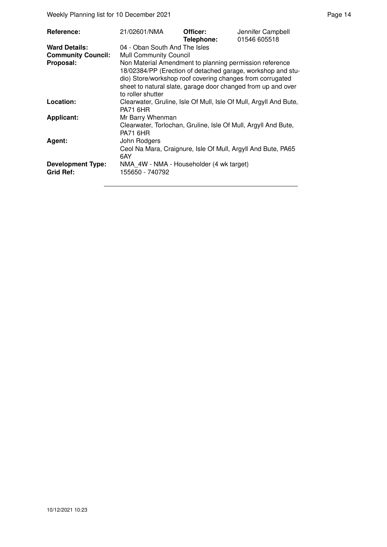Weekly Planning list for 10 December 2021 **Page 14** Page 14

| Non Material Amendment to planning permission reference           |
|-------------------------------------------------------------------|
|                                                                   |
|                                                                   |
|                                                                   |
| 18/02384/PP (Erection of detached garage, workshop and stu-       |
| dio) Store/workshop roof covering changes from corrugated         |
| sheet to natural slate, garage door changed from up and over      |
|                                                                   |
| Clearwater, Gruline, Isle Of Mull, Isle Of Mull, Argyll And Bute, |
|                                                                   |
| Clearwater, Torlochan, Gruline, Isle Of Mull, Argyll And Bute,    |
|                                                                   |
| Ceol Na Mara, Craignure, Isle Of Mull, Argyll And Bute, PA65      |
|                                                                   |
|                                                                   |
|                                                                   |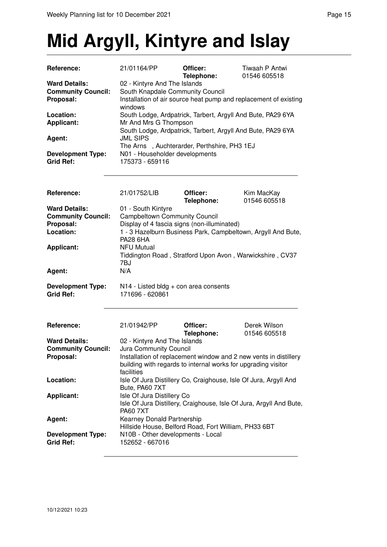## **Mid Argyll, Kintyre and Islay**

| Reference:                                   | 21/01164/PP                                                 | Officer:<br>Telephone: | Tiwaah P Antwi<br>01546 605518                                   |
|----------------------------------------------|-------------------------------------------------------------|------------------------|------------------------------------------------------------------|
| <b>Ward Details:</b>                         | 02 - Kintyre And The Islands                                |                        |                                                                  |
| <b>Community Council:</b>                    | South Knapdale Community Council                            |                        |                                                                  |
| Proposal:                                    | windows                                                     |                        | Installation of air source heat pump and replacement of existing |
| Location:                                    | South Lodge, Ardpatrick, Tarbert, Argyll And Bute, PA29 6YA |                        |                                                                  |
| <b>Applicant:</b>                            | Mr And Mrs G Thompson                                       |                        |                                                                  |
|                                              | South Lodge, Ardpatrick, Tarbert, Argyll And Bute, PA29 6YA |                        |                                                                  |
| Agent:                                       | <b>JML SIPS</b>                                             |                        |                                                                  |
|                                              | The Arns, Auchterarder, Perthshire, PH3 1EJ                 |                        |                                                                  |
| <b>Development Type:</b><br><b>Grid Ref:</b> | N01 - Householder developments<br>175373 - 659116           |                        |                                                                  |

| <b>Reference:</b>                            | 21/01752/LIB                                                                         | Officer:<br>Telephone: | Kim MacKay<br>01546 605518 |
|----------------------------------------------|--------------------------------------------------------------------------------------|------------------------|----------------------------|
| <b>Ward Details:</b>                         | 01 - South Kintyre                                                                   |                        |                            |
| <b>Community Council:</b>                    | <b>Campbeltown Community Council</b>                                                 |                        |                            |
| Proposal:                                    | Display of 4 fascia signs (non-illuminated)                                          |                        |                            |
| Location:                                    | 1 - 3 Hazelburn Business Park, Campbeltown, Argyll And Bute,<br><b>PA28 6HA</b>      |                        |                            |
| <b>Applicant:</b>                            | <b>NFU Mutual</b><br>Tiddington Road, Stratford Upon Avon, Warwickshire, CV37<br>7BJ |                        |                            |
| Agent:                                       | N/A                                                                                  |                        |                            |
| <b>Development Type:</b><br><b>Grid Ref:</b> | $N14$ - Listed bldg + con area consents<br>171696 - 620861                           |                        |                            |

| Reference:                                                     | 21/01942/PP                                                                                                                | Officer:<br>Telephone: | Derek Wilson<br>01546 605518 |
|----------------------------------------------------------------|----------------------------------------------------------------------------------------------------------------------------|------------------------|------------------------------|
| <b>Ward Details:</b><br><b>Community Council:</b><br>Proposal: | 02 - Kintyre And The Islands<br>Jura Community Council<br>Installation of replacement window and 2 new vents in distillery |                        |                              |
|                                                                | building with regards to internal works for upgrading visitor<br>facilities                                                |                        |                              |
| Location:                                                      | Isle Of Jura Distillery Co, Craighouse, Isle Of Jura, Argyll And<br>Bute, PA60 7XT                                         |                        |                              |
| <b>Applicant:</b>                                              | Isle Of Jura Distillery Co<br>Isle Of Jura Distillery, Craighouse, Isle Of Jura, Argyll And Bute,<br><b>PA60 7XT</b>       |                        |                              |
| Agent:                                                         | Kearney Donald Partnership<br>Hillside House, Belford Road, Fort William, PH33 6BT                                         |                        |                              |
| <b>Development Type:</b><br><b>Grid Ref:</b>                   | N10B - Other developments - Local<br>152652 - 667016                                                                       |                        |                              |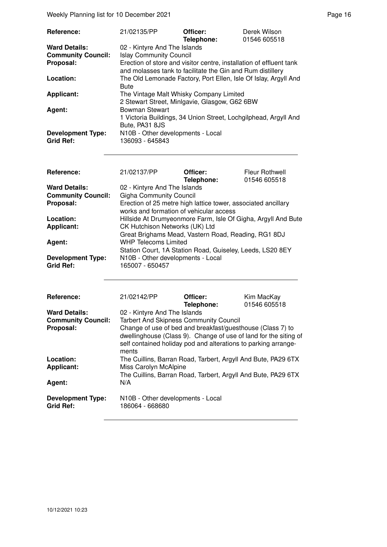Weekly Planning list for 10 December 2021 **Page 16** Page 16

| Reference:                                   | 21/02135/PP                                                                                                                       | Officer:<br>Telephone: | Derek Wilson<br>01546 605518 |
|----------------------------------------------|-----------------------------------------------------------------------------------------------------------------------------------|------------------------|------------------------------|
| <b>Ward Details:</b>                         | 02 - Kintyre And The Islands                                                                                                      |                        |                              |
| <b>Community Council:</b>                    | <b>Islay Community Council</b>                                                                                                    |                        |                              |
| Proposal:                                    | Erection of store and visitor centre, installation of effluent tank<br>and molasses tank to facilitate the Gin and Rum distillery |                        |                              |
| Location:                                    | The Old Lemonade Factory, Port Ellen, Isle Of Islay, Argyll And<br><b>Bute</b>                                                    |                        |                              |
| <b>Applicant:</b>                            | The Vintage Malt Whisky Company Limited<br>2 Stewart Street, Minlgavie, Glasgow, G62 6BW                                          |                        |                              |
| Agent:                                       | <b>Bowman Stewart</b><br>1 Victoria Buildings, 34 Union Street, Lochgilphead, Argyll And<br>Bute, PA31 8JS                        |                        |                              |
| <b>Development Type:</b><br><b>Grid Ref:</b> | N10B - Other developments - Local<br>136093 - 645843                                                                              |                        |                              |

| Reference:                | 21/02137/PP                                                   | Officer:   | Fleur Rothwell |
|---------------------------|---------------------------------------------------------------|------------|----------------|
|                           |                                                               | Telephone: | 01546 605518   |
| <b>Ward Details:</b>      | 02 - Kintyre And The Islands                                  |            |                |
| <b>Community Council:</b> | <b>Gigha Community Council</b>                                |            |                |
| Proposal:                 | Erection of 25 metre high lattice tower, associated ancillary |            |                |
|                           | works and formation of vehicular access                       |            |                |
| Location:                 | Hillside At Drumyeonmore Farm, Isle Of Gigha, Argyll And Bute |            |                |
| <b>Applicant:</b>         | CK Hutchison Networks (UK) Ltd                                |            |                |
|                           | Great Brighams Mead, Vastern Road, Reading, RG1 8DJ           |            |                |
| Agent:                    | <b>WHP Telecoms Limited</b>                                   |            |                |
|                           | Station Court, 1A Station Road, Guiseley, Leeds, LS20 8EY     |            |                |
| <b>Development Type:</b>  | N10B - Other developments - Local                             |            |                |
| <b>Grid Ref:</b>          | 165007 - 650457                                               |            |                |

| Reference:                                   | 21/02142/PP                                                                                                                                                                                               | Officer:<br>Telephone: | Kim MacKay<br>01546 605518 |
|----------------------------------------------|-----------------------------------------------------------------------------------------------------------------------------------------------------------------------------------------------------------|------------------------|----------------------------|
| <b>Ward Details:</b>                         | 02 - Kintyre And The Islands                                                                                                                                                                              |                        |                            |
| <b>Community Council:</b>                    | <b>Tarbert And Skipness Community Council</b>                                                                                                                                                             |                        |                            |
| Proposal:                                    | Change of use of bed and breakfast/guesthouse (Class 7) to<br>dwellinghouse (Class 9). Change of use of land for the siting of<br>self contained holiday pod and alterations to parking arrange-<br>ments |                        |                            |
| Location:<br><b>Applicant:</b>               | The Cuillins, Barran Road, Tarbert, Argyll And Bute, PA29 6TX<br>Miss Carolyn McAlpine                                                                                                                    |                        |                            |
|                                              | The Cuillins, Barran Road, Tarbert, Argyll And Bute, PA29 6TX                                                                                                                                             |                        |                            |
| Agent:                                       | N/A                                                                                                                                                                                                       |                        |                            |
| <b>Development Type:</b><br><b>Grid Ref:</b> | N10B - Other developments - Local<br>186064 - 668680                                                                                                                                                      |                        |                            |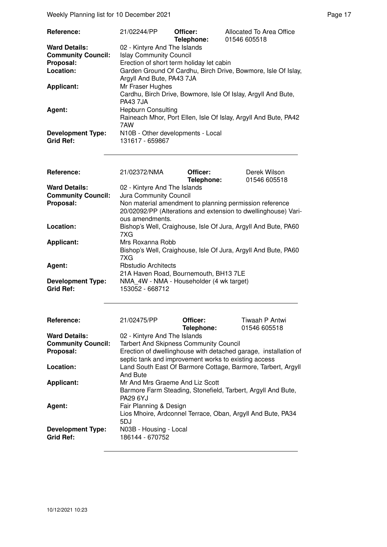Weekly Planning list for 10 December 2021 **Page 17** Neekly Planning list for 10 December 2021

| <b>Reference:</b>                            | 21/02244/PP                                          | Officer:<br>Telephone: | Allocated To Area Office<br>01546 605518                        |
|----------------------------------------------|------------------------------------------------------|------------------------|-----------------------------------------------------------------|
| <b>Ward Details:</b>                         | 02 - Kintyre And The Islands                         |                        |                                                                 |
| <b>Community Council:</b>                    | <b>Islay Community Council</b>                       |                        |                                                                 |
| Proposal:                                    | Erection of short term holiday let cabin             |                        |                                                                 |
| Location:                                    | Argyll And Bute, PA43 7JA                            |                        | Garden Ground Of Cardhu, Birch Drive, Bowmore, Isle Of Islay,   |
| <b>Applicant:</b>                            | Mr Fraser Hughes<br><b>PA43 7JA</b>                  |                        | Cardhu, Birch Drive, Bowmore, Isle Of Islay, Argyll And Bute,   |
| Agent:                                       | <b>Hepburn Consulting</b><br>7AW                     |                        | Raineach Mhor, Port Ellen, Isle Of Islay, Argyll And Bute, PA42 |
| <b>Development Type:</b><br><b>Grid Ref:</b> | N10B - Other developments - Local<br>131617 - 659867 |                        |                                                                 |

| Reference:                | 21/02372/NMA                                                                                                                                 | Officer:<br>Telephone: | Derek Wilson<br>01546 605518 |  |
|---------------------------|----------------------------------------------------------------------------------------------------------------------------------------------|------------------------|------------------------------|--|
| <b>Ward Details:</b>      | 02 - Kintyre And The Islands                                                                                                                 |                        |                              |  |
| <b>Community Council:</b> | Jura Community Council                                                                                                                       |                        |                              |  |
| Proposal:                 | Non material amendment to planning permission reference<br>20/02092/PP (Alterations and extension to dwellinghouse) Vari-<br>ous amendments. |                        |                              |  |
|                           |                                                                                                                                              |                        |                              |  |
| Location:                 | Bishop's Well, Craighouse, Isle Of Jura, Argyll And Bute, PA60<br>7XG.                                                                       |                        |                              |  |
| <b>Applicant:</b>         | Mrs Roxanna Robb                                                                                                                             |                        |                              |  |
|                           | Bishop's Well, Craighouse, Isle Of Jura, Argyll And Bute, PA60<br>7XG                                                                        |                        |                              |  |
| Agent:                    | <b>Rbstudio Architects</b>                                                                                                                   |                        |                              |  |
|                           | 21A Haven Road, Bournemouth, BH13 7LE                                                                                                        |                        |                              |  |
| <b>Development Type:</b>  | NMA 4W - NMA - Householder (4 wk target)                                                                                                     |                        |                              |  |
| <b>Grid Ref:</b>          | 153052 - 668712                                                                                                                              |                        |                              |  |

| Reference:                                   | 21/02475/PP                                                                                                             | Officer:                                                    | Tiwaah P Antwi |  |
|----------------------------------------------|-------------------------------------------------------------------------------------------------------------------------|-------------------------------------------------------------|----------------|--|
|                                              |                                                                                                                         | Telephone:                                                  | 01546 605518   |  |
| <b>Ward Details:</b>                         | 02 - Kintyre And The Islands                                                                                            |                                                             |                |  |
| <b>Community Council:</b>                    | <b>Tarbert And Skipness Community Council</b>                                                                           |                                                             |                |  |
| Proposal:                                    | Erection of dwellinghouse with detached garage, installation of<br>septic tank and improvement works to existing access |                                                             |                |  |
| Location:                                    | Land South East Of Barmore Cottage, Barmore, Tarbert, Argyll<br>And Bute                                                |                                                             |                |  |
| <b>Applicant:</b>                            | Mr And Mrs Graeme And Liz Scott<br>Barmore Farm Steading, Stonefield, Tarbert, Argyll And Bute,<br><b>PA29 6YJ</b>      |                                                             |                |  |
| Agent:                                       | Fair Planning & Design<br>5DJ                                                                                           | Lios Mhoire, Ardconnel Terrace, Oban, Argyll And Bute, PA34 |                |  |
| <b>Development Type:</b><br><b>Grid Ref:</b> | N03B - Housing - Local<br>186144 - 670752                                                                               |                                                             |                |  |